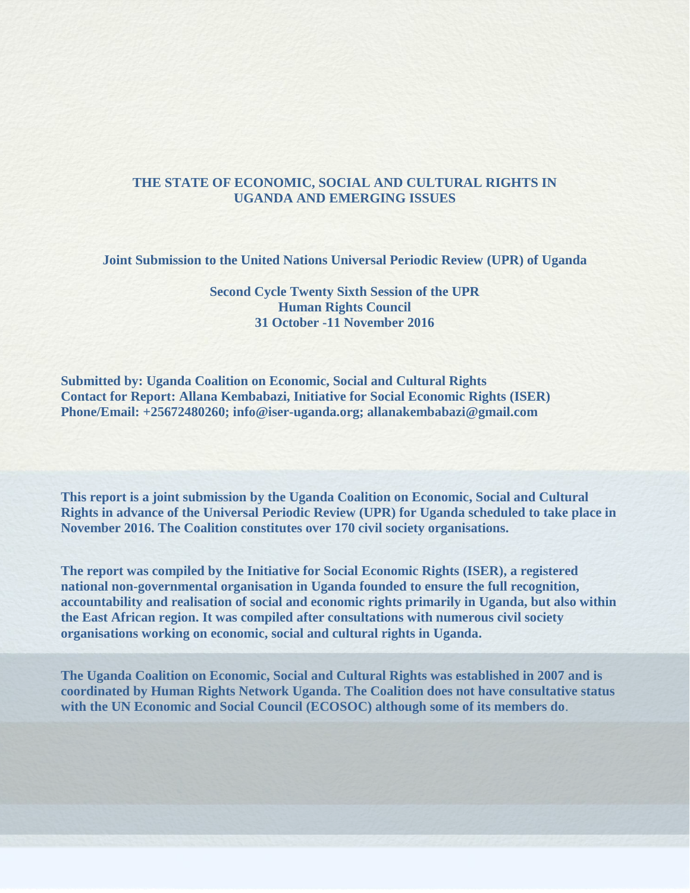## **THE STATE OF ECONOMIC, SOCIAL AND CULTURAL RIGHTS IN UGANDA AND EMERGING ISSUES**

**Joint Submission to the United Nations Universal Periodic Review (UPR) of Uganda**

## **Second Cycle Twenty Sixth Session of the UPR Human Rights Council 31 October -11 November 2016**

**Submitted by: Uganda Coalition on Economic, Social and Cultural Rights Contact for Report: Allana Kembabazi, Initiative for Social Economic Rights (ISER) Phone/Email: +25672480260; info@iser-uganda.org; allanakembabazi@gmail.com**

**This report is a joint submission by the Uganda Coalition on Economic, Social and Cultural Rights in advance of the Universal Periodic Review (UPR) for Uganda scheduled to take place in November 2016. The Coalition constitutes over 170 civil society organisations.** 

**The report was compiled by the Initiative for Social Economic Rights (ISER), a registered national non-governmental organisation in Uganda founded to ensure the full recognition, accountability and realisation of social and economic rights primarily in Uganda, but also within the East African region. It was compiled after consultations with numerous civil society organisations working on economic, social and cultural rights in Uganda.**

**The Uganda Coalition on Economic, Social and Cultural Rights was established in 2007 and is coordinated by Human Rights Network Uganda. The Coalition does not have consultative status with the UN Economic and Social Council (ECOSOC) although some of its members do**.